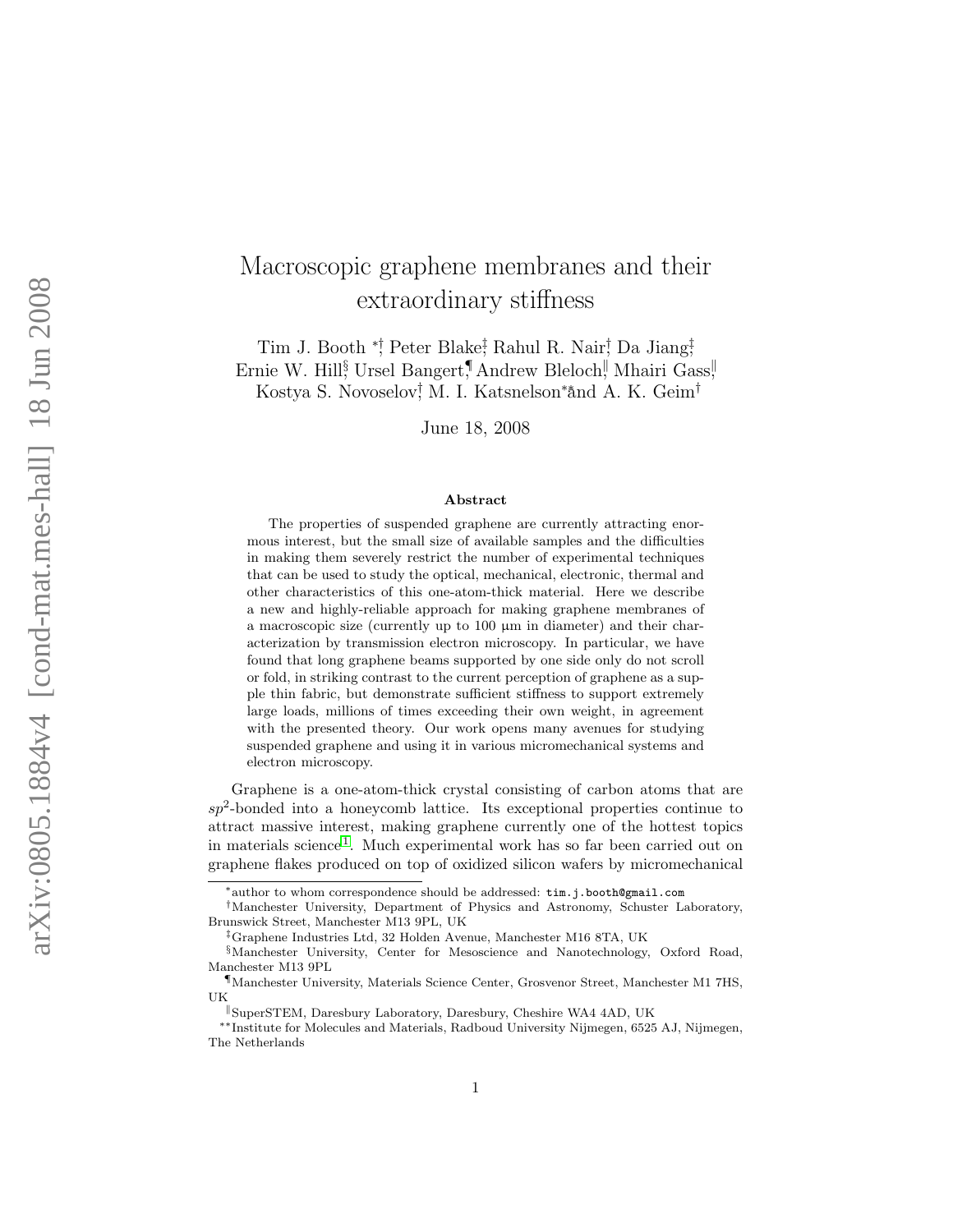## Macroscopic graphene membranes and their extraordinary stiffness

Tim J. Booth <sup>\*</sup>; Peter Blake<sup>†</sup>, Rahul R. Nair; Da Jiang; Ernie W. Hill<sup>§</sup> Ursel Bangert,¶ Andrew Bleloch, Mhairi Gass, Kostya S. Novoselov<sup>†</sup>, M. I. Katsnelson<sup>∗</sup>ånd A. K. Geim<sup>†</sup>

June 18, 2008

## Abstract

The properties of suspended graphene are currently attracting enormous interest, but the small size of available samples and the difficulties in making them severely restrict the number of experimental techniques that can be used to study the optical, mechanical, electronic, thermal and other characteristics of this one-atom-thick material. Here we describe a new and highly-reliable approach for making graphene membranes of a macroscopic size (currently up to 100 µm in diameter) and their characterization by transmission electron microscopy. In particular, we have found that long graphene beams supported by one side only do not scroll or fold, in striking contrast to the current perception of graphene as a supple thin fabric, but demonstrate sufficient stiffness to support extremely large loads, millions of times exceeding their own weight, in agreement with the presented theory. Our work opens many avenues for studying suspended graphene and using it in various micromechanical systems and electron microscopy.

Graphene is a one-atom-thick crystal consisting of carbon atoms that are  $sp<sup>2</sup>$ -bonded into a honeycomb lattice. Its exceptional properties continue to attract massive interest, making graphene currently one of the hottest topics in materials science [1](#page-8-0) . Much experimental work has so far been carried out on graphene flakes produced on top of oxidized silicon wafers by micromechanical

<sup>∗</sup>author to whom correspondence should be addressed: tim.j.booth@gmail.com

<sup>†</sup>Manchester University, Department of Physics and Astronomy, Schuster Laboratory, Brunswick Street, Manchester M13 9PL, UK

<sup>‡</sup>Graphene Industries Ltd, 32 Holden Avenue, Manchester M16 8TA, UK

<sup>§</sup>Manchester University, Center for Mesoscience and Nanotechnology, Oxford Road, Manchester M13 9PL

<sup>¶</sup>Manchester University, Materials Science Center, Grosvenor Street, Manchester M1 7HS, UK

SuperSTEM, Daresbury Laboratory, Daresbury, Cheshire WA4 4AD, UK

<sup>∗∗</sup>Institute for Molecules and Materials, Radboud University Nijmegen, 6525 AJ, Nijmegen, The Netherlands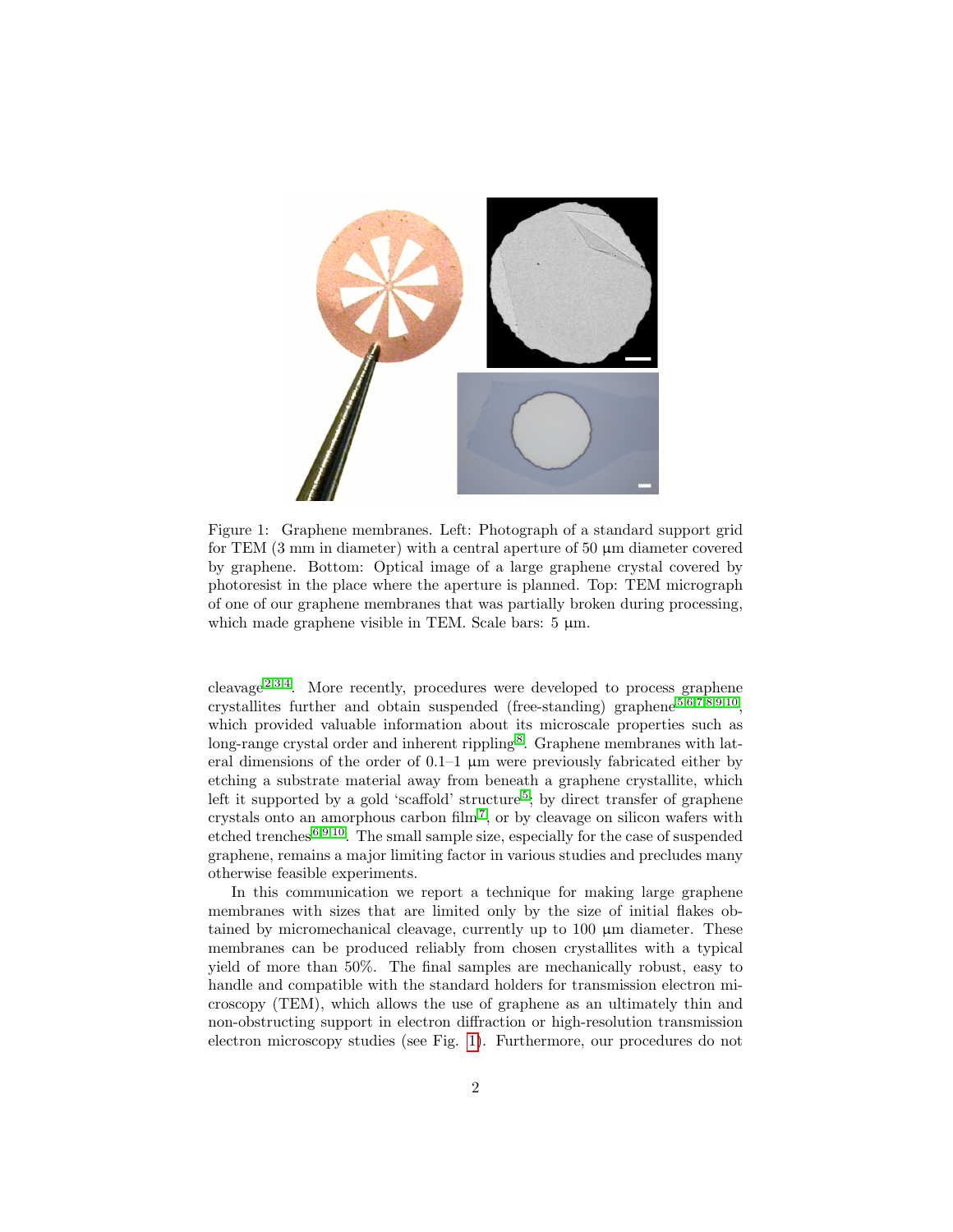

Figure 1: Graphene membranes. Left: Photograph of a standard support grid for TEM  $(3 \text{ mm in diameter})$  with a central aperture of  $50 \mu \text{m}$  diameter covered by graphene. Bottom: Optical image of a large graphene crystal covered by photoresist in the place where the aperture is planned. Top: TEM micrograph of one of our graphene membranes that was partially broken during processing, which made graphene visible in TEM. Scale bars:  $5 \mu m$ .

<span id="page-1-0"></span>cleavage<sup>[2](#page-8-1)[,3](#page-8-2)[,4](#page-8-3)</sup>. More recently, procedures were developed to process graphene crystallites further and obtain suspended (free-standing) graphene [5](#page-8-4)[,6,](#page-8-5)[7,](#page-8-6)[8,](#page-8-7)[9](#page-8-8)[,10](#page-8-9) , which provided valuable information about its microscale properties such as long-range crystal order and inherent rippling<sup>[8](#page-8-7)</sup>. Graphene membranes with lateral dimensions of the order of  $0.1-1 \mu m$  were previously fabricated either by etching a substrate material away from beneath a graphene crystallite, which left it supported by a gold 'scaffold' structure<sup>[5](#page-8-4)</sup>; by direct transfer of graphene crystals onto an amorphous carbon film<sup>[7](#page-8-6)</sup>, or by cleavage on silicon wafers with etched trenches [6](#page-8-5)[,9](#page-8-8)[,10](#page-8-9). The small sample size, especially for the case of suspended graphene, remains a major limiting factor in various studies and precludes many otherwise feasible experiments.

In this communication we report a technique for making large graphene membranes with sizes that are limited only by the size of initial flakes obtained by micromechanical cleavage, currently up to 100 µm diameter. These membranes can be produced reliably from chosen crystallites with a typical yield of more than 50%. The final samples are mechanically robust, easy to handle and compatible with the standard holders for transmission electron microscopy (TEM), which allows the use of graphene as an ultimately thin and non-obstructing support in electron diffraction or high-resolution transmission electron microscopy studies (see Fig. [1\)](#page-1-0). Furthermore, our procedures do not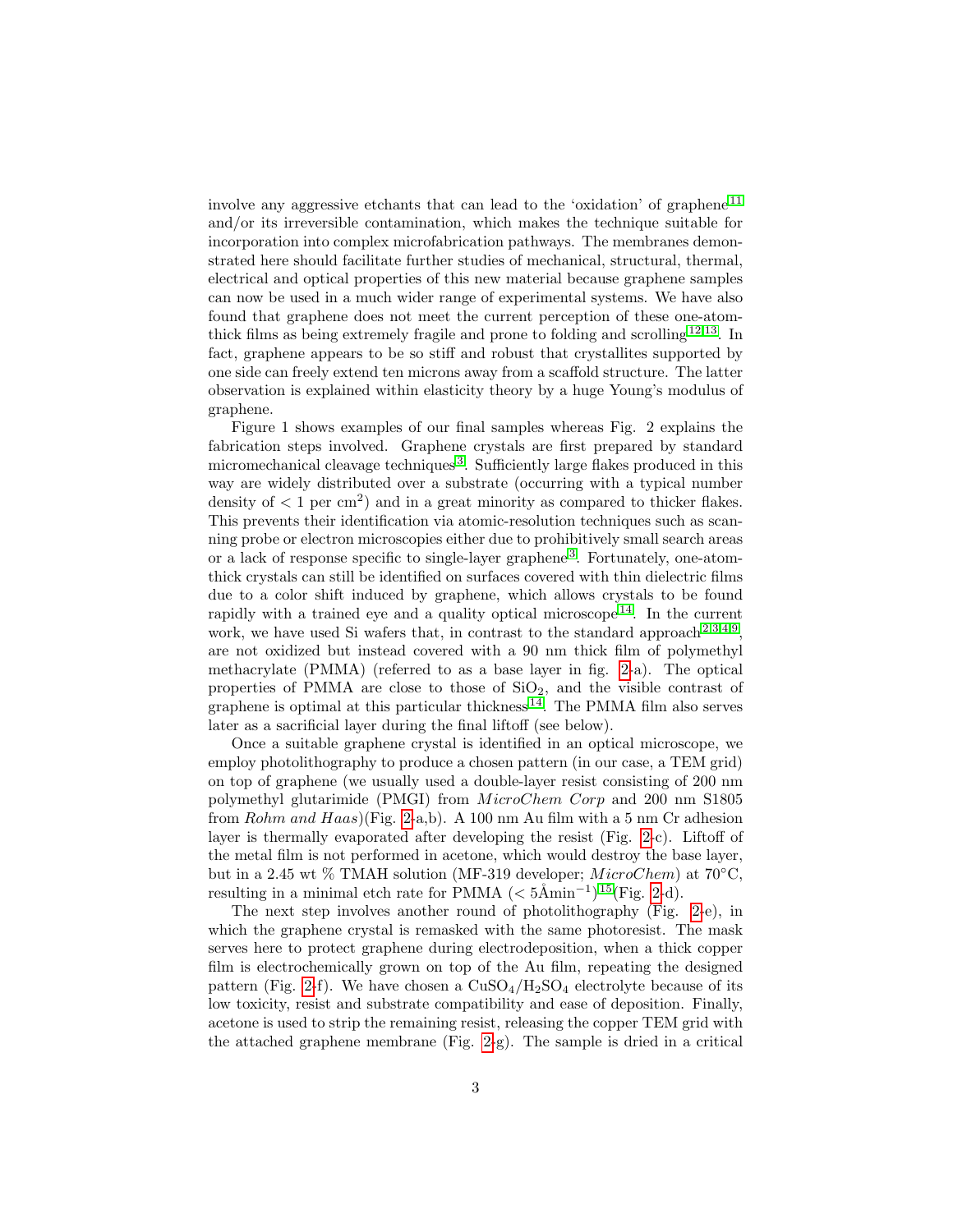involve any aggressive etchants that can lead to the 'oxidation' of graphene [11](#page-8-10) and/or its irreversible contamination, which makes the technique suitable for incorporation into complex microfabrication pathways. The membranes demonstrated here should facilitate further studies of mechanical, structural, thermal, electrical and optical properties of this new material because graphene samples can now be used in a much wider range of experimental systems. We have also found that graphene does not meet the current perception of these one-atomthick films as being extremely fragile and prone to folding and scrolling [12,](#page-8-11)[13](#page-8-12). In fact, graphene appears to be so stiff and robust that crystallites supported by one side can freely extend ten microns away from a scaffold structure. The latter observation is explained within elasticity theory by a huge Young's modulus of graphene.

Figure 1 shows examples of our final samples whereas Fig. 2 explains the fabrication steps involved. Graphene crystals are first prepared by standard micromechanical cleavage techniques<sup>[3](#page-8-2)</sup>. Sufficiently large flakes produced in this way are widely distributed over a substrate (occurring with a typical number density of  $\langle 1 \text{ per cm}^2 \rangle$  and in a great minority as compared to thicker flakes. This prevents their identification via atomic-resolution techniques such as scanning probe or electron microscopies either due to prohibitively small search areas or a lack of response specific to single-layer graphene<sup>[3](#page-8-2)</sup>. Fortunately, one-atomthick crystals can still be identified on surfaces covered with thin dielectric films due to a color shift induced by graphene, which allows crystals to be found rapidly with a trained eye and a quality optical microscope<sup>[14](#page-8-13)</sup>. In the current work, we have used Si wafers that, in contrast to the standard approach  $2,3,4,9$  $2,3,4,9$  $2,3,4,9$  $2,3,4,9$ , are not oxidized but instead covered with a 90 nm thick film of polymethyl methacrylate (PMMA) (referred to as a base layer in fig. [2-](#page-3-0)a). The optical properties of PMMA are close to those of  $SiO<sub>2</sub>$ , and the visible contrast of graphene is optimal at this particular thickness  $14$ . The PMMA film also serves later as a sacrificial layer during the final liftoff (see below).

Once a suitable graphene crystal is identified in an optical microscope, we employ photolithography to produce a chosen pattern (in our case, a TEM grid) on top of graphene (we usually used a double-layer resist consisting of 200 nm polymethyl glutarimide (PMGI) from *MicroChem Corp* and 200 nm S1805 from Rohm and Haas)(Fig. [2-](#page-3-0)a,b). A 100 nm Au film with a 5 nm Cr adhesion layer is thermally evaporated after developing the resist (Fig. [2-](#page-3-0)c). Liftoff of the metal film is not performed in acetone, which would destroy the base layer, but in a 2.45 wt % TMAH solution (MF-319 developer;  $MicroChem$ ) at 70<sup>°</sup>C, resulting in a minimal etch rate for PMMA  $(< 5$ Åmin<sup>-1</sup>)<sup>[15](#page-8-14)</sup>(Fig. [2-](#page-3-0)d).

The next step involves another round of photolithography (Fig. [2-](#page-3-0)e), in which the graphene crystal is remasked with the same photoresist. The mask serves here to protect graphene during electrodeposition, when a thick copper film is electrochemically grown on top of the Au film, repeating the designed pattern (Fig. [2-](#page-3-0)f). We have chosen a  $CuSO<sub>4</sub>/H<sub>2</sub>SO<sub>4</sub>$  electrolyte because of its low toxicity, resist and substrate compatibility and ease of deposition. Finally, acetone is used to strip the remaining resist, releasing the copper TEM grid with the attached graphene membrane (Fig. [2-](#page-3-0)g). The sample is dried in a critical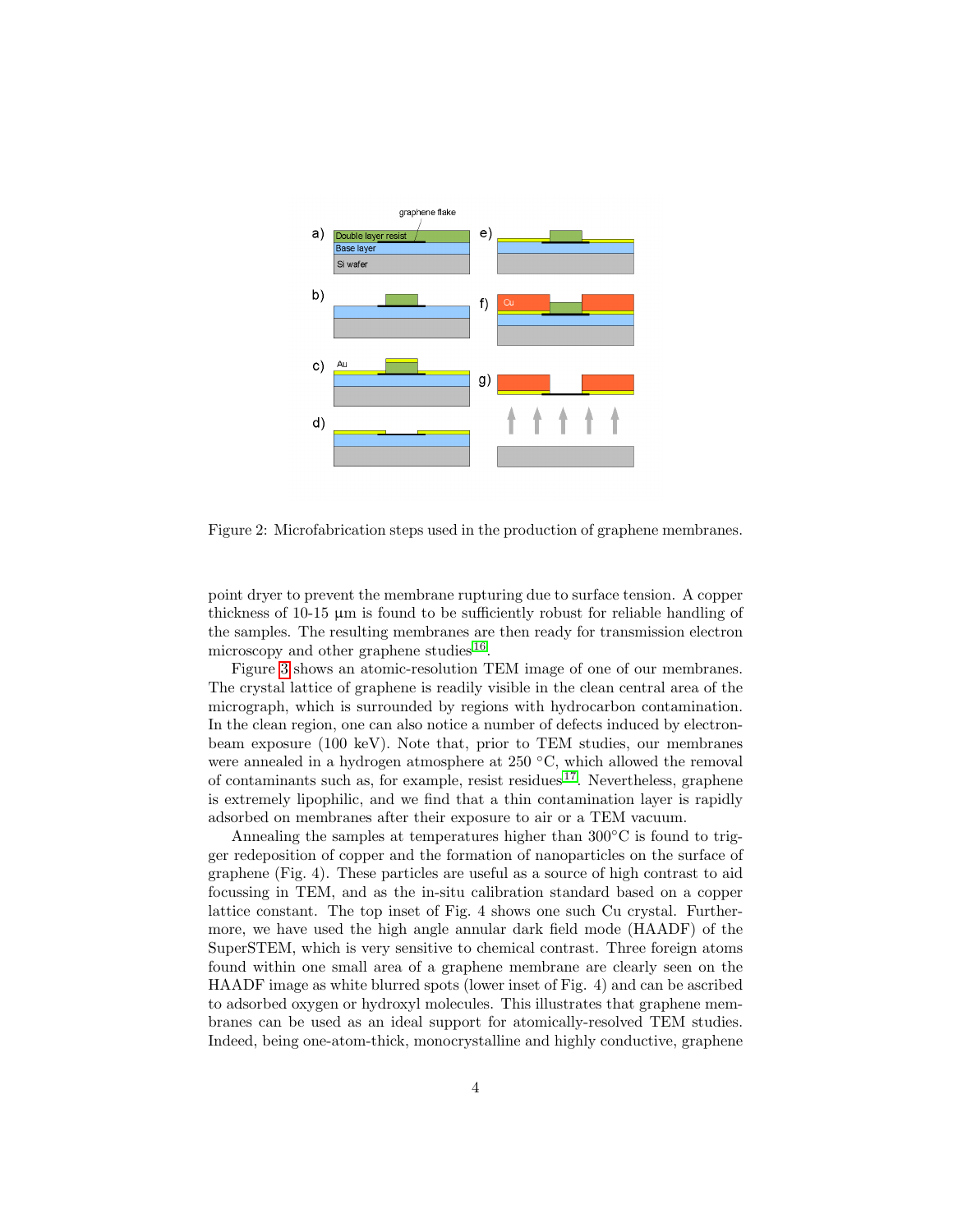

<span id="page-3-0"></span>Figure 2: Microfabrication steps used in the production of graphene membranes.

point dryer to prevent the membrane rupturing due to surface tension. A copper thickness of 10-15 µm is found to be sufficiently robust for reliable handling of the samples. The resulting membranes are then ready for transmission electron microscopy and other graphene studies<sup>[16](#page-8-15)</sup>.

Figure [3](#page-4-0) shows an atomic-resolution TEM image of one of our membranes. The crystal lattice of graphene is readily visible in the clean central area of the micrograph, which is surrounded by regions with hydrocarbon contamination. In the clean region, one can also notice a number of defects induced by electronbeam exposure (100 keV). Note that, prior to TEM studies, our membranes were annealed in a hydrogen atmosphere at 250 ◦C, which allowed the removal of contaminants such as, for example, resist residues  $17$ . Nevertheless, graphene is extremely lipophilic, and we find that a thin contamination layer is rapidly adsorbed on membranes after their exposure to air or a TEM vacuum.

Annealing the samples at temperatures higher than  $300\degree$ C is found to trigger redeposition of copper and the formation of nanoparticles on the surface of graphene (Fig. 4). These particles are useful as a source of high contrast to aid focussing in TEM, and as the in-situ calibration standard based on a copper lattice constant. The top inset of Fig. 4 shows one such Cu crystal. Furthermore, we have used the high angle annular dark field mode (HAADF) of the SuperSTEM, which is very sensitive to chemical contrast. Three foreign atoms found within one small area of a graphene membrane are clearly seen on the HAADF image as white blurred spots (lower inset of Fig. 4) and can be ascribed to adsorbed oxygen or hydroxyl molecules. This illustrates that graphene membranes can be used as an ideal support for atomically-resolved TEM studies. Indeed, being one-atom-thick, monocrystalline and highly conductive, graphene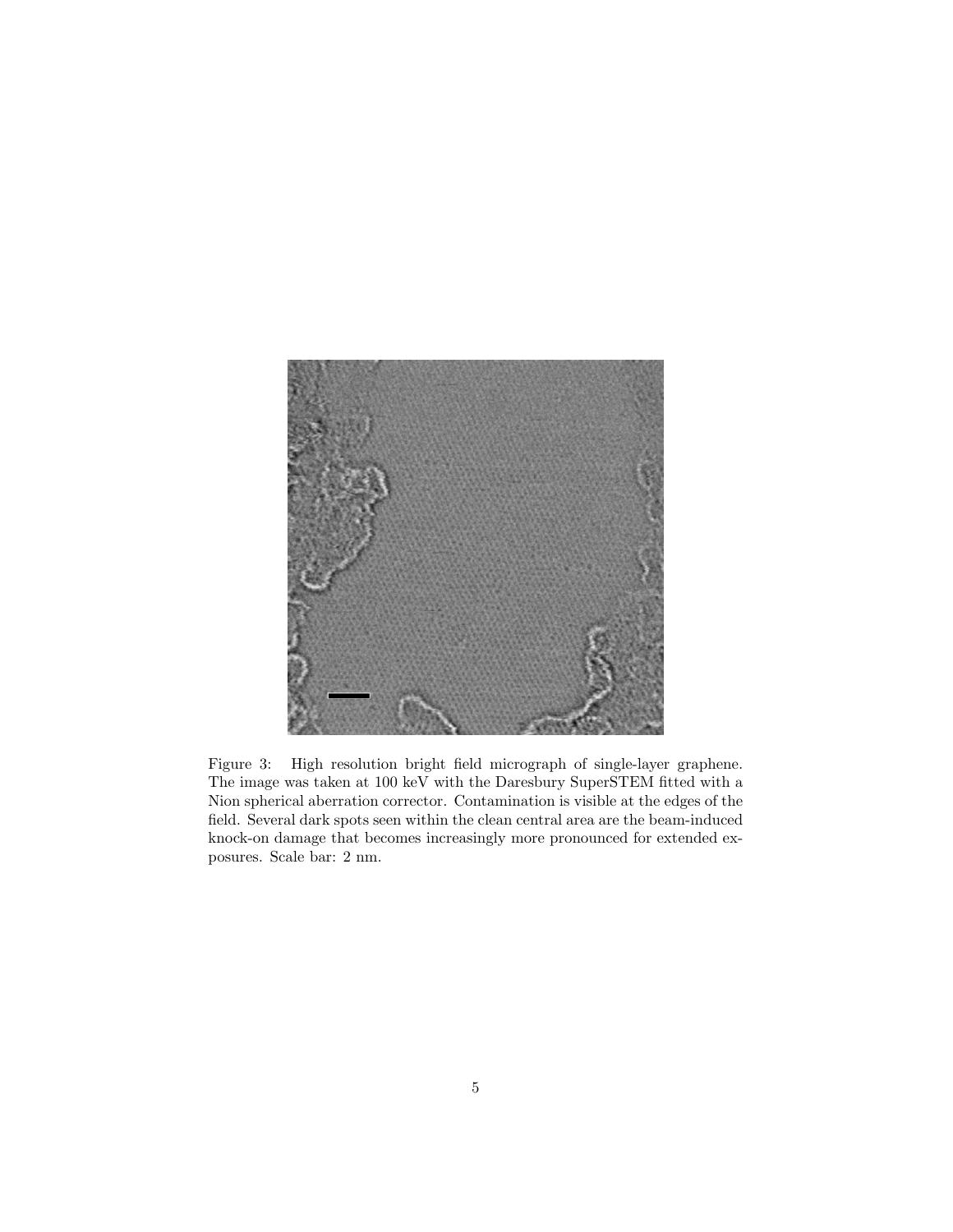<span id="page-4-0"></span>

Figure 3: High resolution bright field micrograph of single-layer graphene. The image was taken at 100 keV with the Daresbury SuperSTEM fitted with a Nion spherical aberration corrector. Contamination is visible at the edges of the field. Several dark spots seen within the clean central area are the beam-induced knock-on damage that becomes increasingly more pronounced for extended exposures. Scale bar: 2 nm.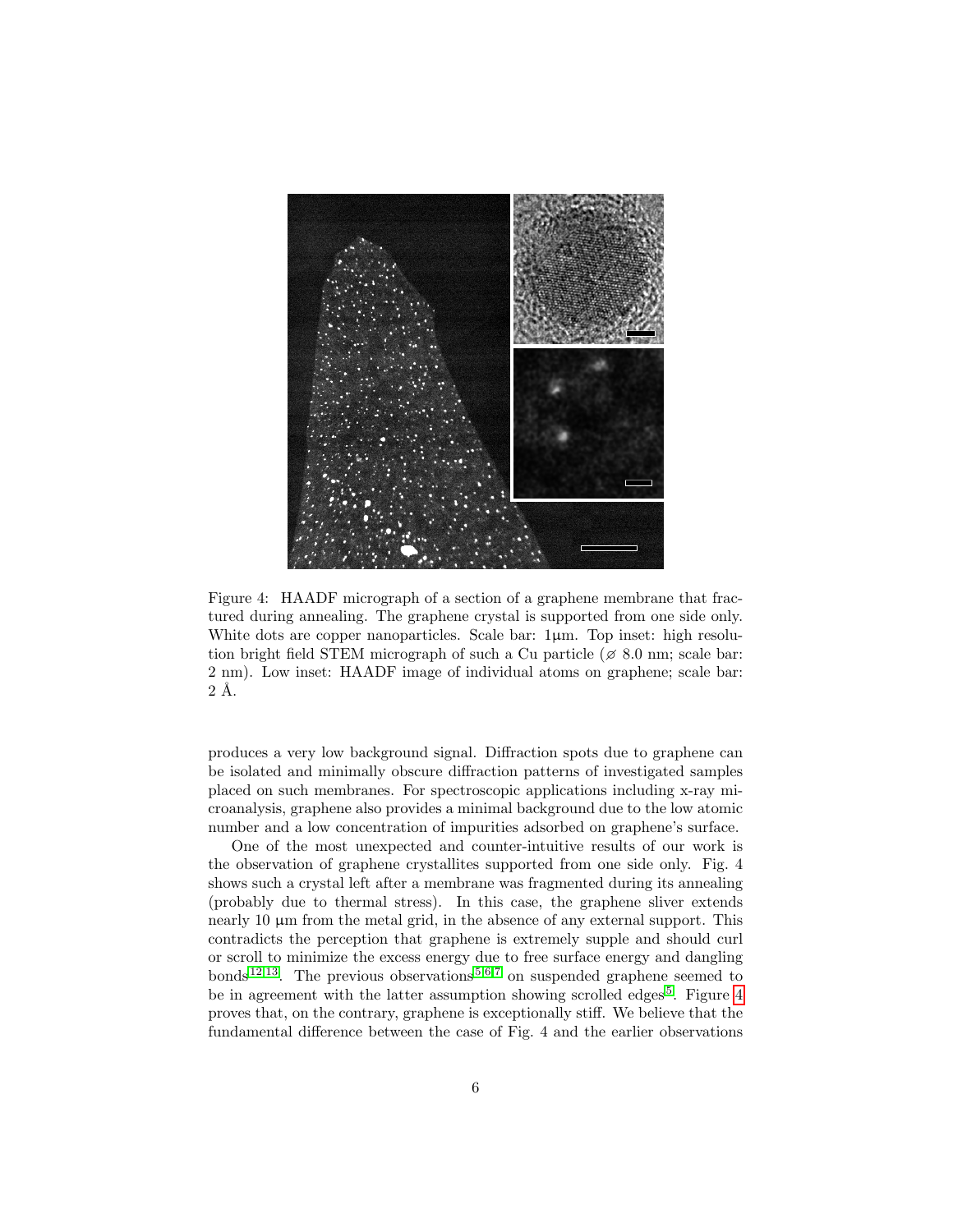

Figure 4: HAADF micrograph of a section of a graphene membrane that fractured during annealing. The graphene crystal is supported from one side only. White dots are copper nanoparticles. Scale bar:  $1\mu$ m. Top inset: high resolution bright field STEM micrograph of such a Cu particle ( $\approx 8.0$  nm; scale bar: 2 nm). Low inset: HAADF image of individual atoms on graphene; scale bar:  $2 \text{ Å}.$ 

<span id="page-5-0"></span>produces a very low background signal. Diffraction spots due to graphene can be isolated and minimally obscure diffraction patterns of investigated samples placed on such membranes. For spectroscopic applications including x-ray microanalysis, graphene also provides a minimal background due to the low atomic number and a low concentration of impurities adsorbed on graphene's surface.

One of the most unexpected and counter-intuitive results of our work is the observation of graphene crystallites supported from one side only. Fig. 4 shows such a crystal left after a membrane was fragmented during its annealing (probably due to thermal stress). In this case, the graphene sliver extends nearly 10  $\mu$ m from the metal grid, in the absence of any external support. This contradicts the perception that graphene is extremely supple and should curl or scroll to minimize the excess energy due to free surface energy and dangling bonds  $12,13$  $12,13$ . The previous observations  $5,6,7$  $5,6,7$  $5,6,7$  on suspended graphene seemed to be in agreement with the latter assumption showing scrolled edges<sup>[5](#page-8-4)</sup>. Figure [4](#page-5-0) proves that, on the contrary, graphene is exceptionally stiff. We believe that the fundamental difference between the case of Fig. 4 and the earlier observations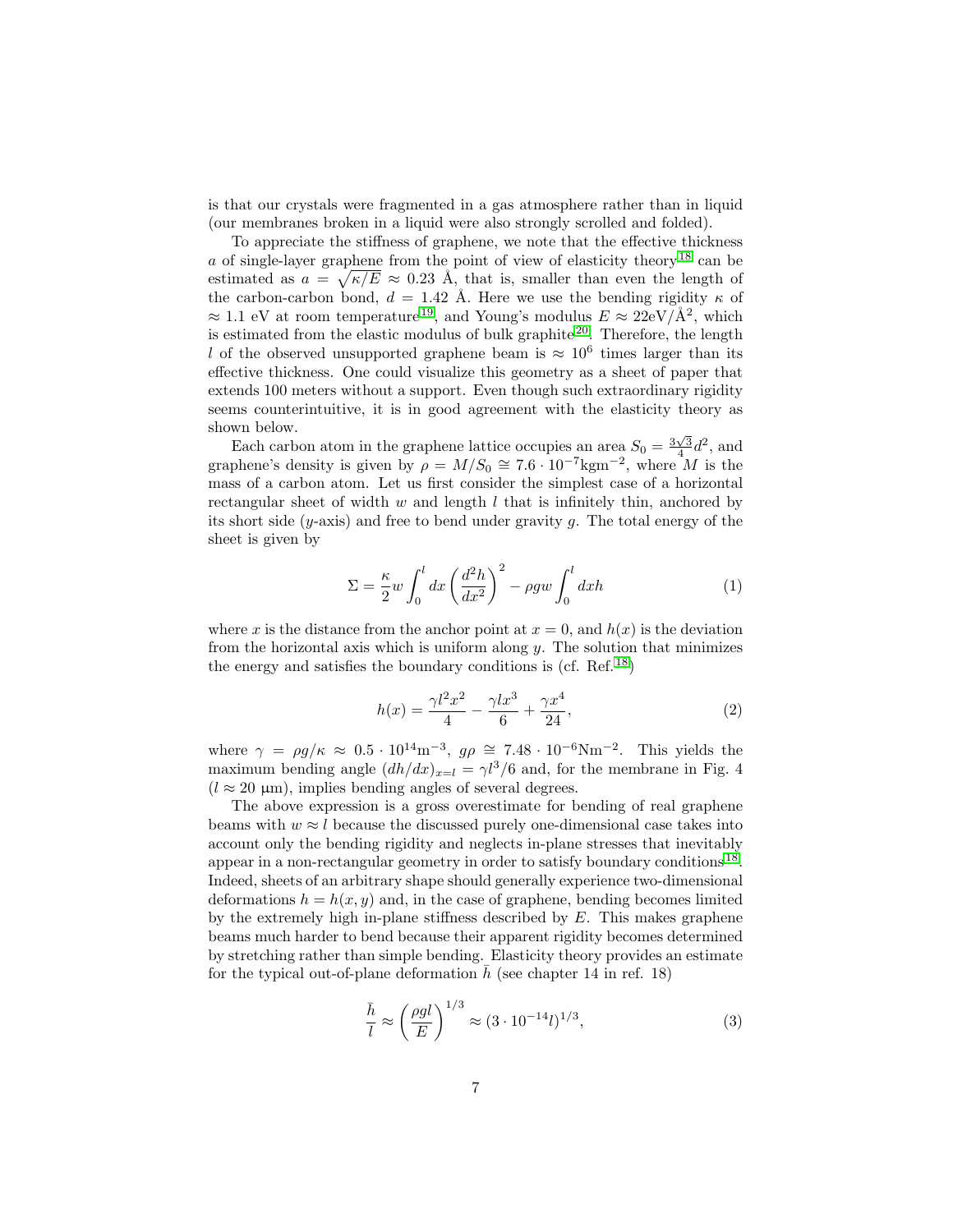is that our crystals were fragmented in a gas atmosphere rather than in liquid (our membranes broken in a liquid were also strongly scrolled and folded).

To appreciate the stiffness of graphene, we note that the effective thickness a of single-layer graphene from the point of view of elasticity theory  $^{18}$  $^{18}$  $^{18}$  can be estimated as  $a = \sqrt{\kappa/E} \approx 0.23$  Å, that is, smaller than even the length of the carbon-carbon bond,  $d = 1.42$  Å. Here we use the bending rigidity  $\kappa$  of  $\approx 1.1$  eV at room temperature<sup>[19](#page-9-1)</sup>, and Young's modulus  $E \approx 22 \text{eV}/\text{\AA}^2$ , which is estimated from the elastic modulus of bulk graphite  $2<sup>0</sup>$ . Therefore, the length l of the observed unsupported graphene beam is  $\approx 10^6$  times larger than its effective thickness. One could visualize this geometry as a sheet of paper that extends 100 meters without a support. Even though such extraordinary rigidity seems counterintuitive, it is in good agreement with the elasticity theory as shown below.

Each carbon atom in the graphene lattice occupies an area  $S_0 = \frac{3\sqrt{3}}{4}d^2$ , and graphene's density is given by  $\rho = M/S_0 \cong 7.6 \cdot 10^{-7} \text{kgm}^{-2}$ , where M is the mass of a carbon atom. Let us first consider the simplest case of a horizontal rectangular sheet of width  $w$  and length  $l$  that is infinitely thin, anchored by its short side  $(y\text{-axis})$  and free to bend under gravity g. The total energy of the sheet is given by

$$
\Sigma = \frac{\kappa}{2} w \int_0^l dx \left(\frac{d^2 h}{dx^2}\right)^2 - \rho g w \int_0^l dx h \tag{1}
$$

where x is the distance from the anchor point at  $x = 0$ , and  $h(x)$  is the deviation from the horizontal axis which is uniform along  $y$ . The solution that minimizes the energy and satisfies the boundary conditions is (cf. Ref.  $^{18}$  $^{18}$  $^{18}$ )

$$
h(x) = \frac{\gamma l^2 x^2}{4} - \frac{\gamma l x^3}{6} + \frac{\gamma x^4}{24},\tag{2}
$$

where  $\gamma = \rho g / \kappa \approx 0.5 \cdot 10^{14} \text{m}^{-3}$ ,  $g \rho \approx 7.48 \cdot 10^{-6} \text{Nm}^{-2}$ . This yields the maximum bending angle  $(dh/dx)_{x=l} = \gamma l^3/6$  and, for the membrane in Fig. 4  $(l \approx 20 \text{ }\mu\text{m})$ , implies bending angles of several degrees.

The above expression is a gross overestimate for bending of real graphene beams with  $w \approx l$  because the discussed purely one-dimensional case takes into account only the bending rigidity and neglects in-plane stresses that inevitably appear in a non-rectangular geometry in order to satisfy boundary conditions<sup>[18](#page-9-0)</sup>. Indeed, sheets of an arbitrary shape should generally experience two-dimensional deformations  $h = h(x, y)$  and, in the case of graphene, bending becomes limited by the extremely high in-plane stiffness described by  $E$ . This makes graphene beams much harder to bend because their apparent rigidity becomes determined by stretching rather than simple bending. Elasticity theory provides an estimate for the typical out-of-plane deformation  $\bar{h}$  (see chapter 14 in ref. 18)

$$
\frac{\bar{h}}{l} \approx \left(\frac{\rho g l}{E}\right)^{1/3} \approx (3 \cdot 10^{-14} l)^{1/3},\tag{3}
$$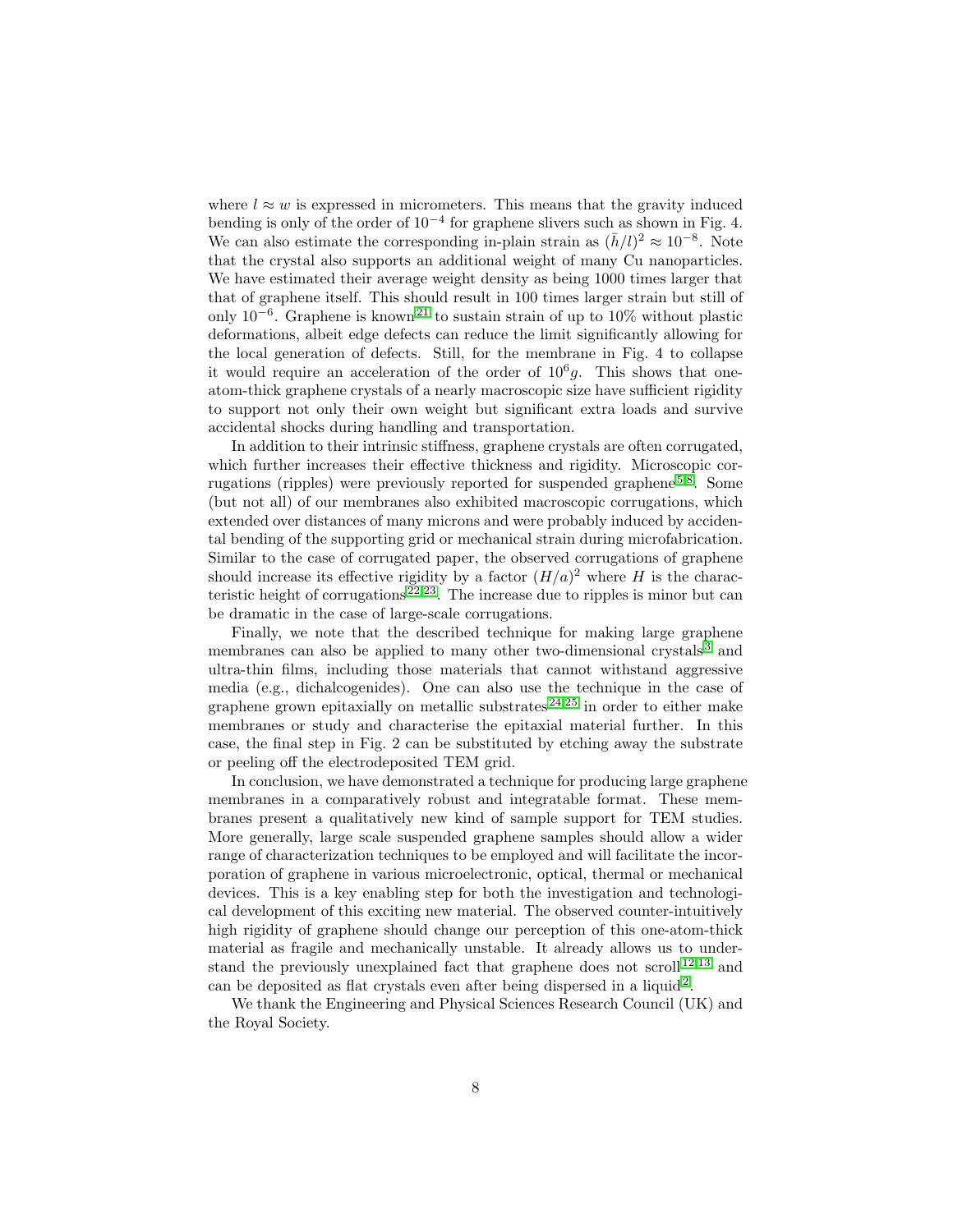where  $l \approx w$  is expressed in micrometers. This means that the gravity induced bending is only of the order of 10−<sup>4</sup> for graphene slivers such as shown in Fig. 4. We can also estimate the corresponding in-plain strain as  $(\bar{h}/l)^2 \approx 10^{-8}$ . Note that the crystal also supports an additional weight of many Cu nanoparticles. We have estimated their average weight density as being 1000 times larger that that of graphene itself. This should result in 100 times larger strain but still of only  $10^{-6}$ . Graphene is known<sup>[21](#page-9-3)</sup> to sustain strain of up to 10% without plastic deformations, albeit edge defects can reduce the limit significantly allowing for the local generation of defects. Still, for the membrane in Fig. 4 to collapse it would require an acceleration of the order of  $10<sup>6</sup>g$ . This shows that oneatom-thick graphene crystals of a nearly macroscopic size have sufficient rigidity to support not only their own weight but significant extra loads and survive accidental shocks during handling and transportation.

In addition to their intrinsic stiffness, graphene crystals are often corrugated, which further increases their effective thickness and rigidity. Microscopic corrugations (ripples) were previously reported for suspended graphene  $5,8$  $5,8$ . Some (but not all) of our membranes also exhibited macroscopic corrugations, which extended over distances of many microns and were probably induced by accidental bending of the supporting grid or mechanical strain during microfabrication. Similar to the case of corrugated paper, the observed corrugations of graphene should increase its effective rigidity by a factor  $(H/a)^2$  where H is the characteristic height of corrugations  $2^{2,23}$  $2^{2,23}$  $2^{2,23}$ . The increase due to ripples is minor but can be dramatic in the case of large-scale corrugations.

Finally, we note that the described technique for making large graphene membranes can also be applied to many other two-dimensional crystals [3](#page-8-2) and ultra-thin films, including those materials that cannot withstand aggressive media (e.g., dichalcogenides). One can also use the technique in the case of graphene grown epitaxially on metallic substrates  $24,25$  $24,25$  in order to either make membranes or study and characterise the epitaxial material further. In this case, the final step in Fig. 2 can be substituted by etching away the substrate or peeling off the electrodeposited TEM grid.

In conclusion, we have demonstrated a technique for producing large graphene membranes in a comparatively robust and integratable format. These membranes present a qualitatively new kind of sample support for TEM studies. More generally, large scale suspended graphene samples should allow a wider range of characterization techniques to be employed and will facilitate the incorporation of graphene in various microelectronic, optical, thermal or mechanical devices. This is a key enabling step for both the investigation and technological development of this exciting new material. The observed counter-intuitively high rigidity of graphene should change our perception of this one-atom-thick material as fragile and mechanically unstable. It already allows us to under-stand the previously unexplained fact that graphene does not scroll<sup>[12](#page-8-11)[,13](#page-8-12)</sup> and can be deposited as flat crystals even after being dispersed in a liquid<sup>[2](#page-8-1)</sup>.

We thank the Engineering and Physical Sciences Research Council (UK) and the Royal Society.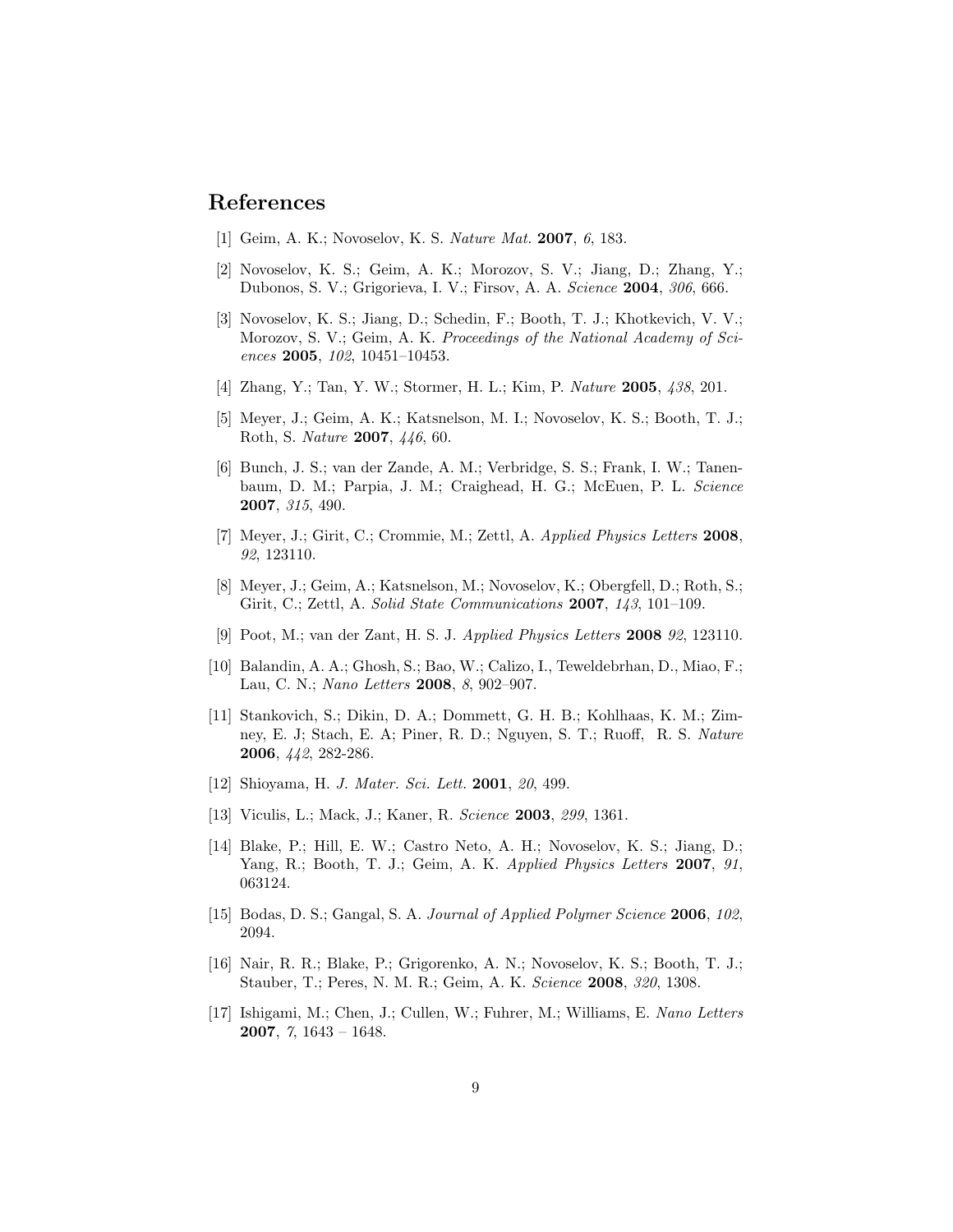## References

- <span id="page-8-0"></span>[1] Geim, A. K.; Novoselov, K. S. Nature Mat. 2007, 6, 183.
- <span id="page-8-1"></span>[2] Novoselov, K. S.; Geim, A. K.; Morozov, S. V.; Jiang, D.; Zhang, Y.; Dubonos, S. V.; Grigorieva, I. V.; Firsov, A. A. Science 2004, 306, 666.
- <span id="page-8-2"></span>[3] Novoselov, K. S.; Jiang, D.; Schedin, F.; Booth, T. J.; Khotkevich, V. V.; Morozov, S. V.; Geim, A. K. Proceedings of the National Academy of Sciences 2005, 102, 10451–10453.
- <span id="page-8-3"></span>[4] Zhang, Y.; Tan, Y. W.; Stormer, H. L.; Kim, P. Nature 2005, 438, 201.
- <span id="page-8-4"></span>[5] Meyer, J.; Geim, A. K.; Katsnelson, M. I.; Novoselov, K. S.; Booth, T. J.; Roth, S. Nature 2007, 446, 60.
- <span id="page-8-5"></span>[6] Bunch, J. S.; van der Zande, A. M.; Verbridge, S. S.; Frank, I. W.; Tanenbaum, D. M.; Parpia, J. M.; Craighead, H. G.; McEuen, P. L. Science 2007, 315, 490.
- <span id="page-8-6"></span>[7] Meyer, J.; Girit, C.; Crommie, M.; Zettl, A. Applied Physics Letters 2008, 92, 123110.
- <span id="page-8-7"></span>[8] Meyer, J.; Geim, A.; Katsnelson, M.; Novoselov, K.; Obergfell, D.; Roth, S.; Girit, C.; Zettl, A. Solid State Communications 2007, 143, 101–109.
- <span id="page-8-8"></span>[9] Poot, M.; van der Zant, H. S. J. Applied Physics Letters 2008 92, 123110.
- <span id="page-8-9"></span>[10] Balandin, A. A.; Ghosh, S.; Bao, W.; Calizo, I., Teweldebrhan, D., Miao, F.; Lau, C. N.; Nano Letters 2008, 8, 902–907.
- <span id="page-8-10"></span>[11] Stankovich, S.; Dikin, D. A.; Dommett, G. H. B.; Kohlhaas, K. M.; Zimney, E. J; Stach, E. A; Piner, R. D.; Nguyen, S. T.; Ruoff, R. S. Nature 2006, 442, 282-286.
- <span id="page-8-11"></span>[12] Shioyama, H. *J. Mater. Sci. Lett.* **2001**, 20, 499.
- <span id="page-8-12"></span>[13] Viculis, L.; Mack, J.; Kaner, R. Science **2003**, 299, 1361.
- <span id="page-8-13"></span>[14] Blake, P.; Hill, E. W.; Castro Neto, A. H.; Novoselov, K. S.; Jiang, D.; Yang, R.; Booth, T. J.; Geim, A. K. Applied Physics Letters 2007, 91, 063124.
- <span id="page-8-14"></span>[15] Bodas, D. S.; Gangal, S. A. Journal of Applied Polymer Science 2006, 102, 2094.
- <span id="page-8-15"></span>[16] Nair, R. R.; Blake, P.; Grigorenko, A. N.; Novoselov, K. S.; Booth, T. J.; Stauber, T.; Peres, N. M. R.; Geim, A. K. Science 2008, 320, 1308.
- <span id="page-8-16"></span>[17] Ishigami, M.; Chen, J.; Cullen, W.; Fuhrer, M.; Williams, E. Nano Letters 2007, 7, 1643 – 1648.